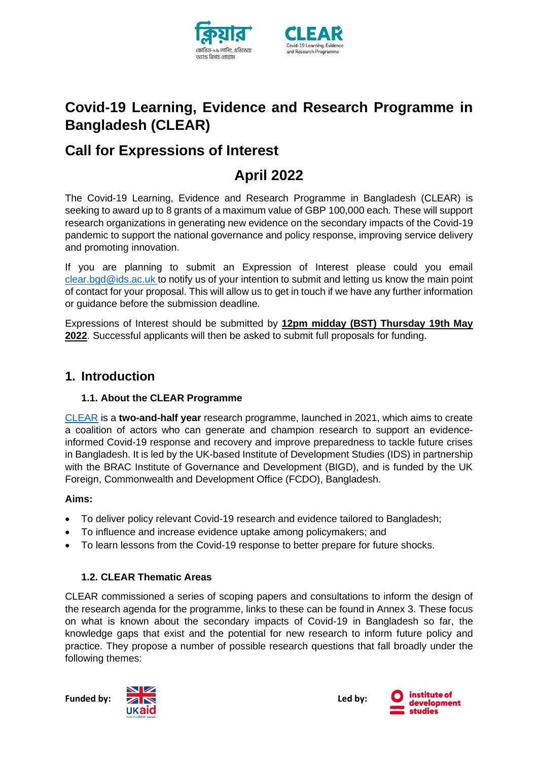



# **Covid-19 Learning, Evidence and Research Programme in Bangladesh (CLEAR)**

# **Call for Expressions of Interest**

# **April 2022**

The Covid-19 Learning, Evidence and Research Programme in Bangladesh (CLEAR) is seeking to award up to 8 grants of a maximum value of GBP 100,000 each. These will support research organizations in generating new evidence on the secondary impacts of the Covid-19 pandemic to support the national governance and policy response, improving service delivery and promoting innovation.

If you are planning to submit an Expression of Interest please could you email [clear.bgd@ids.ac.uk](mailto:clear.bgd@ids.ac.uk) to notify us of your intention to submit and letting us know the main point of contact for your proposal. This will allow us to get in touch if we have any further information or guidance before the submission deadline.

Expressions of Interest should be submitted by **12pm midday (BST) Thursday 19th May 2022**. Successful applicants will then be asked to submit full proposals for funding.

## **1. Introduction**

## **1.1. About the CLEAR Programme**

[CLEAR](https://www.covid-collective.net/clear/) is a **two-and-half year** research programme, launched in 2021, which aims to create a coalition of actors who can generate and champion research to support an evidenceinformed Covid-19 response and recovery and improve preparedness to tackle future crises in Bangladesh. It is led by the UK-based Institute of Development Studies (IDS) in partnership with the BRAC Institute of Governance and Development (BIGD), and is funded by the UK Foreign, Commonwealth and Development Office (FCDO), Bangladesh.

## **Aims:**

- To deliver policy relevant Covid-19 research and evidence tailored to Bangladesh;
- To influence and increase evidence uptake among policymakers; and
- To learn lessons from the Covid-19 response to better prepare for future shocks.

## **1.2. CLEAR Thematic Areas**

CLEAR commissioned a series of scoping papers and consultations to inform the design of the research agenda for the programme, links to these can be found in Annex 3. These focus on what is known about the secondary impacts of Covid-19 in Bangladesh so far, the knowledge gaps that exist and the potential for new research to inform future policy and practice. They propose a number of possible research questions that fall broadly under the following themes:

Funded by: **ALC 2008 Led by: Led by:** 



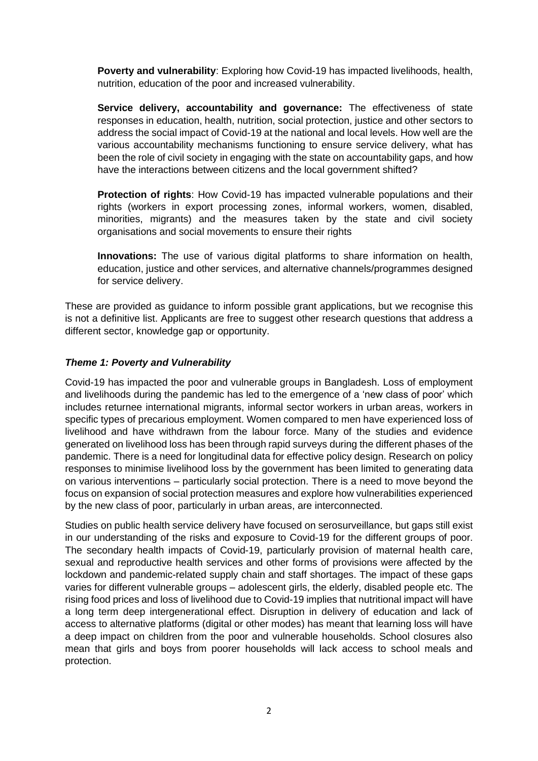**Poverty and vulnerability**: Exploring how Covid-19 has impacted livelihoods, health, nutrition, education of the poor and increased vulnerability.

**Service delivery, accountability and governance:** The effectiveness of state responses in education, health, nutrition, social protection, justice and other sectors to address the social impact of Covid-19 at the national and local levels. How well are the various accountability mechanisms functioning to ensure service delivery, what has been the role of civil society in engaging with the state on accountability gaps, and how have the interactions between citizens and the local government shifted?

**Protection of rights**: How Covid-19 has impacted vulnerable populations and their rights (workers in export processing zones, informal workers, women, disabled, minorities, migrants) and the measures taken by the state and civil society organisations and social movements to ensure their rights

**Innovations:** The use of various digital platforms to share information on health, education, justice and other services, and alternative channels/programmes designed for service delivery.

These are provided as guidance to inform possible grant applications, but we recognise this is not a definitive list. Applicants are free to suggest other research questions that address a different sector, knowledge gap or opportunity.

#### *Theme 1: Poverty and Vulnerability*

Covid-19 has impacted the poor and vulnerable groups in Bangladesh. Loss of employment and livelihoods during the pandemic has led to the emergence of a 'new class of poor' which includes returnee international migrants, informal sector workers in urban areas, workers in specific types of precarious employment. Women compared to men have experienced loss of livelihood and have withdrawn from the labour force. Many of the studies and evidence generated on livelihood loss has been through rapid surveys during the different phases of the pandemic. There is a need for longitudinal data for effective policy design. Research on policy responses to minimise livelihood loss by the government has been limited to generating data on various interventions – particularly social protection. There is a need to move beyond the focus on expansion of social protection measures and explore how vulnerabilities experienced by the new class of poor, particularly in urban areas, are interconnected.

Studies on public health service delivery have focused on serosurveillance, but gaps still exist in our understanding of the risks and exposure to Covid-19 for the different groups of poor. The secondary health impacts of Covid-19, particularly provision of maternal health care, sexual and reproductive health services and other forms of provisions were affected by the lockdown and pandemic-related supply chain and staff shortages. The impact of these gaps varies for different vulnerable groups – adolescent girls, the elderly, disabled people etc. The rising food prices and loss of livelihood due to Covid-19 implies that nutritional impact will have a long term deep intergenerational effect. Disruption in delivery of education and lack of access to alternative platforms (digital or other modes) has meant that learning loss will have a deep impact on children from the poor and vulnerable households. School closures also mean that girls and boys from poorer households will lack access to school meals and protection.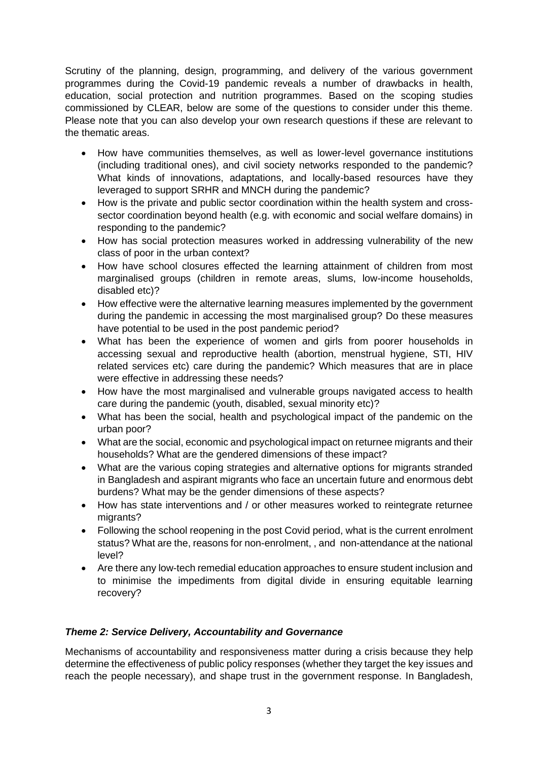Scrutiny of the planning, design, programming, and delivery of the various government programmes during the Covid-19 pandemic reveals a number of drawbacks in health, education, social protection and nutrition programmes. Based on the scoping studies commissioned by CLEAR, below are some of the questions to consider under this theme. Please note that you can also develop your own research questions if these are relevant to the thematic areas.

- How have communities themselves, as well as lower-level governance institutions (including traditional ones), and civil society networks responded to the pandemic? What kinds of innovations, adaptations, and locally-based resources have they leveraged to support SRHR and MNCH during the pandemic?
- How is the private and public sector coordination within the health system and crosssector coordination beyond health (e.g. with economic and social welfare domains) in responding to the pandemic?
- How has social protection measures worked in addressing vulnerability of the new class of poor in the urban context?
- How have school closures effected the learning attainment of children from most marginalised groups (children in remote areas, slums, low-income households, disabled etc)?
- How effective were the alternative learning measures implemented by the government during the pandemic in accessing the most marginalised group? Do these measures have potential to be used in the post pandemic period?
- What has been the experience of women and girls from poorer households in accessing sexual and reproductive health (abortion, menstrual hygiene, STI, HIV related services etc) care during the pandemic? Which measures that are in place were effective in addressing these needs?
- How have the most marginalised and vulnerable groups navigated access to health care during the pandemic (youth, disabled, sexual minority etc)?
- What has been the social, health and psychological impact of the pandemic on the urban poor?
- What are the social, economic and psychological impact on returnee migrants and their households? What are the gendered dimensions of these impact?
- What are the various coping strategies and alternative options for migrants stranded in Bangladesh and aspirant migrants who face an uncertain future and enormous debt burdens? What may be the gender dimensions of these aspects?
- How has state interventions and / or other measures worked to reintegrate returnee migrants?
- Following the school reopening in the post Covid period, what is the current enrolment status? What are the, reasons for non-enrolment, , and non-attendance at the national level?
- Are there any low-tech remedial education approaches to ensure student inclusion and to minimise the impediments from digital divide in ensuring equitable learning recovery?

#### *Theme 2: Service Delivery, Accountability and Governance*

Mechanisms of accountability and responsiveness matter during a crisis because they help determine the effectiveness of public policy responses (whether they target the key issues and reach the people necessary), and shape trust in the government response. In Bangladesh,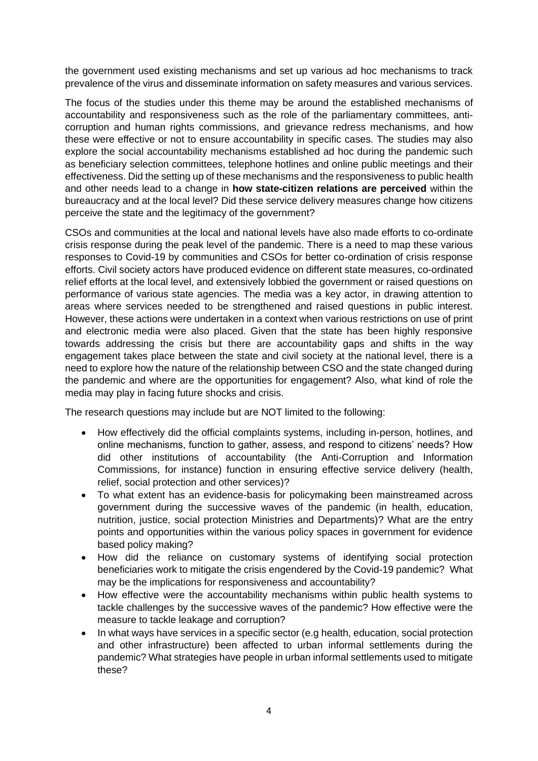the government used existing mechanisms and set up various ad hoc mechanisms to track prevalence of the virus and disseminate information on safety measures and various services.

The focus of the studies under this theme may be around the established mechanisms of accountability and responsiveness such as the role of the parliamentary committees, anticorruption and human rights commissions, and grievance redress mechanisms, and how these were effective or not to ensure accountability in specific cases. The studies may also explore the social accountability mechanisms established ad hoc during the pandemic such as beneficiary selection committees, telephone hotlines and online public meetings and their effectiveness. Did the setting up of these mechanisms and the responsiveness to public health and other needs lead to a change in **how state-citizen relations are perceived** within the bureaucracy and at the local level? Did these service delivery measures change how citizens perceive the state and the legitimacy of the government?

CSOs and communities at the local and national levels have also made efforts to co-ordinate crisis response during the peak level of the pandemic. There is a need to map these various responses to Covid-19 by communities and CSOs for better co-ordination of crisis response efforts. Civil society actors have produced evidence on different state measures, co-ordinated relief efforts at the local level, and extensively lobbied the government or raised questions on performance of various state agencies. The media was a key actor, in drawing attention to areas where services needed to be strengthened and raised questions in public interest. However, these actions were undertaken in a context when various restrictions on use of print and electronic media were also placed. Given that the state has been highly responsive towards addressing the crisis but there are accountability gaps and shifts in the way engagement takes place between the state and civil society at the national level, there is a need to explore how the nature of the relationship between CSO and the state changed during the pandemic and where are the opportunities for engagement? Also, what kind of role the media may play in facing future shocks and crisis.

The research questions may include but are NOT limited to the following:

- How effectively did the official complaints systems, including in-person, hotlines, and online mechanisms, function to gather, assess, and respond to citizens' needs? How did other institutions of accountability (the Anti-Corruption and Information Commissions, for instance) function in ensuring effective service delivery (health, relief, social protection and other services)?
- To what extent has an evidence-basis for policymaking been mainstreamed across government during the successive waves of the pandemic (in health, education, nutrition, justice, social protection Ministries and Departments)? What are the entry points and opportunities within the various policy spaces in government for evidence based policy making?
- How did the reliance on customary systems of identifying social protection beneficiaries work to mitigate the crisis engendered by the Covid-19 pandemic? What may be the implications for responsiveness and accountability?
- How effective were the accountability mechanisms within public health systems to tackle challenges by the successive waves of the pandemic? How effective were the measure to tackle leakage and corruption?
- In what ways have services in a specific sector (e.g health, education, social protection and other infrastructure) been affected to urban informal settlements during the pandemic? What strategies have people in urban informal settlements used to mitigate these?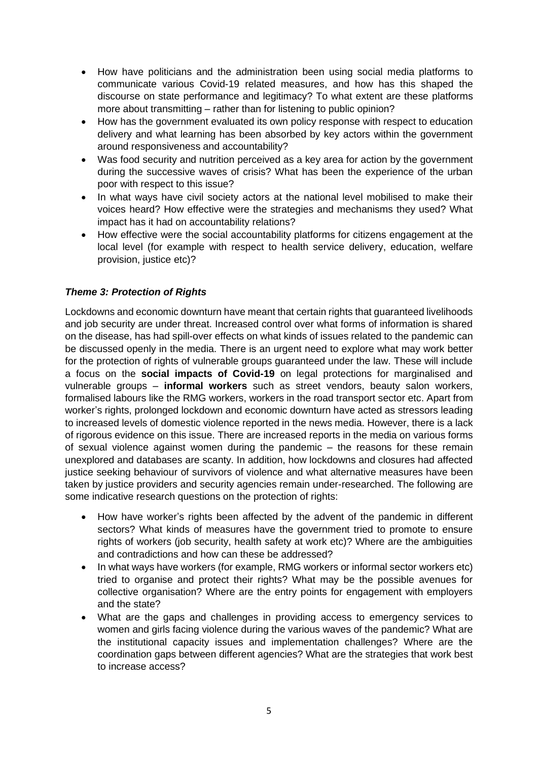- How have politicians and the administration been using social media platforms to communicate various Covid-19 related measures, and how has this shaped the discourse on state performance and legitimacy? To what extent are these platforms more about transmitting – rather than for listening to public opinion?
- How has the government evaluated its own policy response with respect to education delivery and what learning has been absorbed by key actors within the government around responsiveness and accountability?
- Was food security and nutrition perceived as a key area for action by the government during the successive waves of crisis? What has been the experience of the urban poor with respect to this issue?
- In what ways have civil society actors at the national level mobilised to make their voices heard? How effective were the strategies and mechanisms they used? What impact has it had on accountability relations?
- How effective were the social accountability platforms for citizens engagement at the local level (for example with respect to health service delivery, education, welfare provision, justice etc)?

#### *Theme 3: Protection of Rights*

Lockdowns and economic downturn have meant that certain rights that guaranteed livelihoods and job security are under threat. Increased control over what forms of information is shared on the disease, has had spill-over effects on what kinds of issues related to the pandemic can be discussed openly in the media. There is an urgent need to explore what may work better for the protection of rights of vulnerable groups guaranteed under the law. These will include a focus on the **social impacts of Covid-19** on legal protections for marginalised and vulnerable groups – **informal workers** such as street vendors, beauty salon workers, formalised labours like the RMG workers, workers in the road transport sector etc. Apart from worker's rights, prolonged lockdown and economic downturn have acted as stressors leading to increased levels of domestic violence reported in the news media. However, there is a lack of rigorous evidence on this issue. There are increased reports in the media on various forms of sexual violence against women during the pandemic – the reasons for these remain unexplored and databases are scanty. In addition, how lockdowns and closures had affected justice seeking behaviour of survivors of violence and what alternative measures have been taken by justice providers and security agencies remain under-researched. The following are some indicative research questions on the protection of rights:

- How have worker's rights been affected by the advent of the pandemic in different sectors? What kinds of measures have the government tried to promote to ensure rights of workers (job security, health safety at work etc)? Where are the ambiguities and contradictions and how can these be addressed?
- In what ways have workers (for example, RMG workers or informal sector workers etc) tried to organise and protect their rights? What may be the possible avenues for collective organisation? Where are the entry points for engagement with employers and the state?
- What are the gaps and challenges in providing access to emergency services to women and girls facing violence during the various waves of the pandemic? What are the institutional capacity issues and implementation challenges? Where are the coordination gaps between different agencies? What are the strategies that work best to increase access?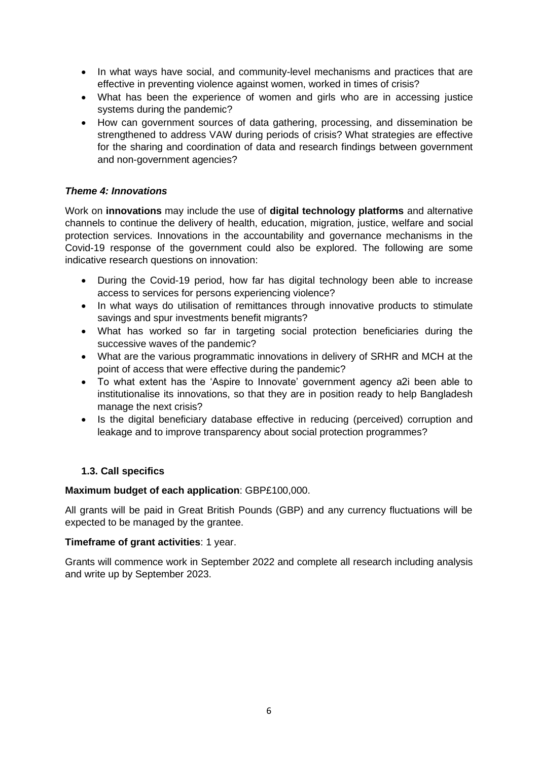- In what ways have social, and community-level mechanisms and practices that are effective in preventing violence against women, worked in times of crisis?
- What has been the experience of women and girls who are in accessing justice systems during the pandemic?
- How can government sources of data gathering, processing, and dissemination be strengthened to address VAW during periods of crisis? What strategies are effective for the sharing and coordination of data and research findings between government and non-government agencies?

#### *Theme 4: Innovations*

Work on **innovations** may include the use of **digital technology platforms** and alternative channels to continue the delivery of health, education, migration, justice, welfare and social protection services. Innovations in the accountability and governance mechanisms in the Covid-19 response of the government could also be explored. The following are some indicative research questions on innovation:

- During the Covid-19 period, how far has digital technology been able to increase access to services for persons experiencing violence?
- In what ways do utilisation of remittances through innovative products to stimulate savings and spur investments benefit migrants?
- What has worked so far in targeting social protection beneficiaries during the successive waves of the pandemic?
- What are the various programmatic innovations in delivery of SRHR and MCH at the point of access that were effective during the pandemic?
- To what extent has the 'Aspire to Innovate' government agency a2i been able to institutionalise its innovations, so that they are in position ready to help Bangladesh manage the next crisis?
- Is the digital beneficiary database effective in reducing (perceived) corruption and leakage and to improve transparency about social protection programmes?

#### **1.3. Call specifics**

#### **Maximum budget of each application**: GBP£100,000.

All grants will be paid in Great British Pounds (GBP) and any currency fluctuations will be expected to be managed by the grantee.

#### **Timeframe of grant activities**: 1 year.

Grants will commence work in September 2022 and complete all research including analysis and write up by September 2023.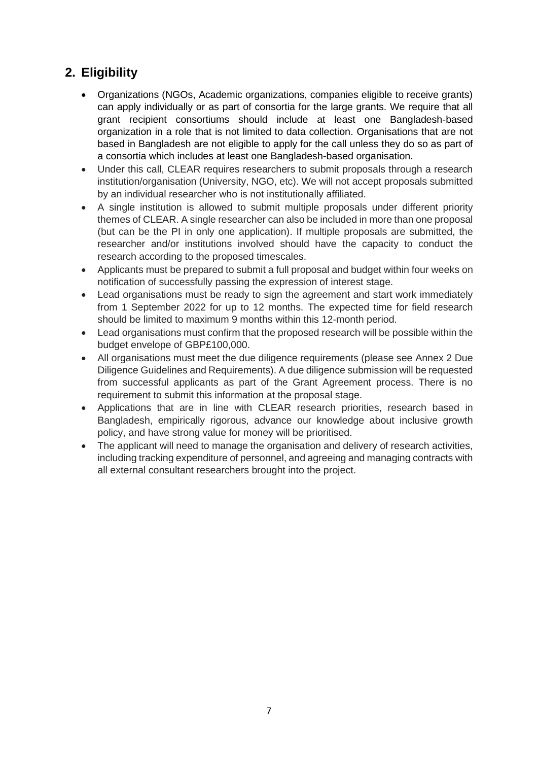## **2. Eligibility**

- Organizations (NGOs, Academic organizations, companies eligible to receive grants) can apply individually or as part of consortia for the large grants. We require that all grant recipient consortiums should include at least one Bangladesh-based organization in a role that is not limited to data collection. Organisations that are not based in Bangladesh are not eligible to apply for the call unless they do so as part of a consortia which includes at least one Bangladesh-based organisation.
- Under this call, CLEAR requires researchers to submit proposals through a research institution/organisation (University, NGO, etc). We will not accept proposals submitted by an individual researcher who is not institutionally affiliated.
- A single institution is allowed to submit multiple proposals under different priority themes of CLEAR. A single researcher can also be included in more than one proposal (but can be the PI in only one application). If multiple proposals are submitted, the researcher and/or institutions involved should have the capacity to conduct the research according to the proposed timescales.
- Applicants must be prepared to submit a full proposal and budget within four weeks on notification of successfully passing the expression of interest stage.
- Lead organisations must be ready to sign the agreement and start work immediately from 1 September 2022 for up to 12 months. The expected time for field research should be limited to maximum 9 months within this 12-month period.
- Lead organisations must confirm that the proposed research will be possible within the budget envelope of GBP£100,000.
- All organisations must meet the due diligence requirements (please see Annex 2 Due Diligence Guidelines and Requirements). A due diligence submission will be requested from successful applicants as part of the Grant Agreement process. There is no requirement to submit this information at the proposal stage.
- Applications that are in line with CLEAR research priorities, research based in Bangladesh, empirically rigorous, advance our knowledge about inclusive growth policy, and have strong value for money will be prioritised.
- The applicant will need to manage the organisation and delivery of research activities, including tracking expenditure of personnel, and agreeing and managing contracts with all external consultant researchers brought into the project.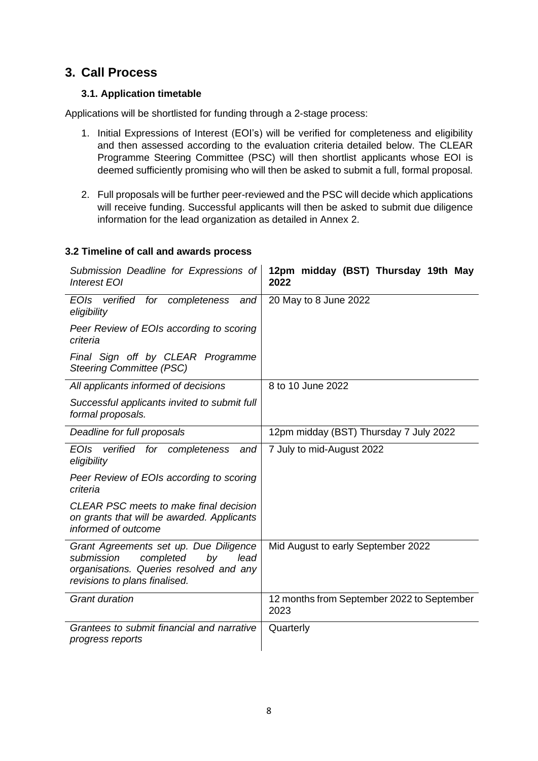## **3. Call Process**

### **3.1. Application timetable**

Applications will be shortlisted for funding through a 2-stage process:

- 1. Initial Expressions of Interest (EOI's) will be verified for completeness and eligibility and then assessed according to the evaluation criteria detailed below. The CLEAR Programme Steering Committee (PSC) will then shortlist applicants whose EOI is deemed sufficiently promising who will then be asked to submit a full, formal proposal.
- 2. Full proposals will be further peer-reviewed and the PSC will decide which applications will receive funding. Successful applicants will then be asked to submit due diligence information for the lead organization as detailed in Annex 2.

#### **3.2 Timeline of call and awards process**

| Submission Deadline for Expressions of<br><b>Interest EOI</b>                                                                                               | 12pm midday (BST) Thursday 19th May<br>2022        |
|-------------------------------------------------------------------------------------------------------------------------------------------------------------|----------------------------------------------------|
| verified for completeness and<br>EOIs.<br>eligibility                                                                                                       | 20 May to 8 June 2022                              |
| Peer Review of EOIs according to scoring<br>criteria                                                                                                        |                                                    |
| Final Sign off by CLEAR Programme<br><b>Steering Committee (PSC)</b>                                                                                        |                                                    |
| All applicants informed of decisions                                                                                                                        | 8 to 10 June 2022                                  |
| Successful applicants invited to submit full<br>formal proposals.                                                                                           |                                                    |
| Deadline for full proposals                                                                                                                                 | 12pm midday (BST) Thursday 7 July 2022             |
| <b>EOIs</b><br>verified for completeness<br>and<br>eligibility                                                                                              | 7 July to mid-August 2022                          |
| Peer Review of EOIs according to scoring<br>criteria                                                                                                        |                                                    |
| CLEAR PSC meets to make final decision<br>on grants that will be awarded. Applicants<br>informed of outcome                                                 |                                                    |
| Grant Agreements set up. Due Diligence<br>submission<br>completed<br>lead<br>by<br>organisations. Queries resolved and any<br>revisions to plans finalised. | Mid August to early September 2022                 |
| <b>Grant duration</b>                                                                                                                                       | 12 months from September 2022 to September<br>2023 |
| Grantees to submit financial and narrative<br>progress reports                                                                                              | Quarterly                                          |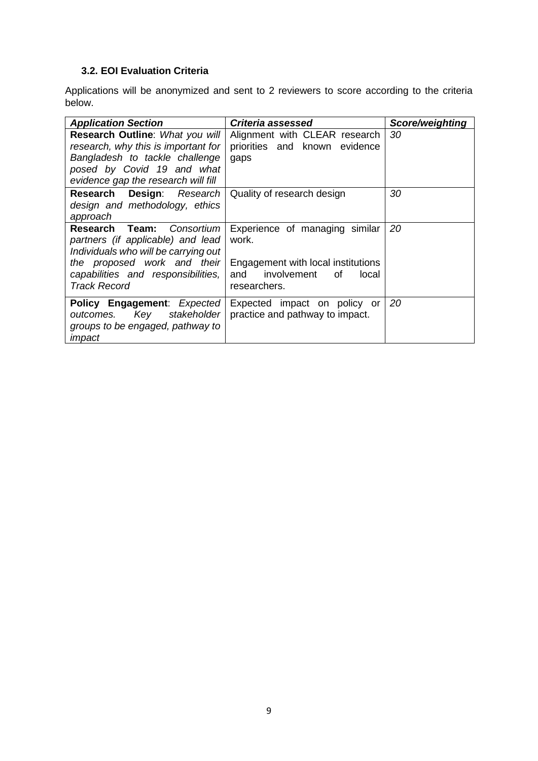## **3.2. EOI Evaluation Criteria**

Applications will be anonymized and sent to 2 reviewers to score according to the criteria below.

| <b>Application Section</b>                                                                                                                                                                            | Criteria assessed                                                                                                            | Score/weighting |
|-------------------------------------------------------------------------------------------------------------------------------------------------------------------------------------------------------|------------------------------------------------------------------------------------------------------------------------------|-----------------|
| Research Outline: What you will<br>research, why this is important for<br>Bangladesh to tackle challenge<br>posed by Covid 19 and what<br>evidence gap the research will fill                         | Alignment with CLEAR research<br>priorities and known evidence<br>gaps                                                       | 30              |
| Research Design: Research<br>design and methodology, ethics<br>approach                                                                                                                               | Quality of research design                                                                                                   | 30              |
| Consortium<br>Research Team:<br>partners (if applicable) and lead<br>Individuals who will be carrying out<br>the proposed work and their<br>capabilities and responsibilities,<br><b>Track Record</b> | Experience of managing similar<br>work.<br>Engagement with local institutions<br>and involvement of<br>local<br>researchers. | 20              |
| Policy Engagement: Expected<br>outcomes. Key stakeholder<br>groups to be engaged, pathway to<br>impact                                                                                                | Expected impact on policy or<br>practice and pathway to impact.                                                              | 20              |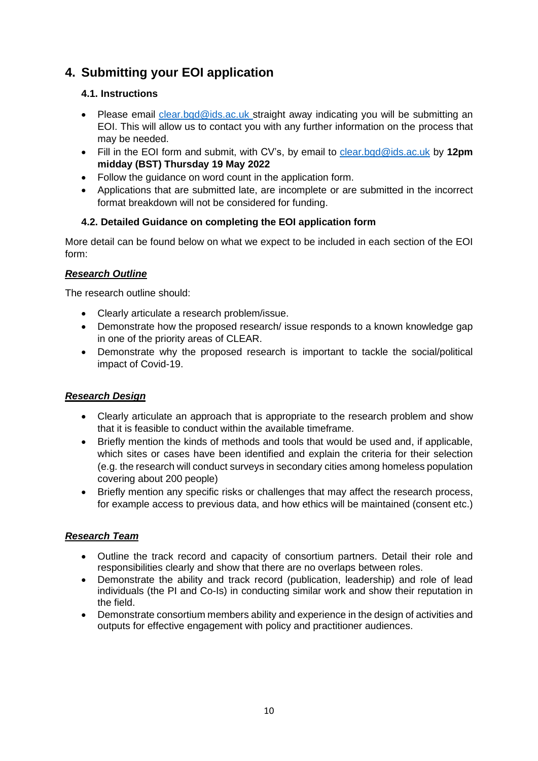## **4. Submitting your EOI application**

## **4.1. Instructions**

- Please email [clear.bgd@ids.ac.uk](mailto:clear.bgd@ids.ac.uk) straight away indicating you will be submitting an EOI. This will allow us to contact you with any further information on the process that may be needed.
- Fill in the EOI form and submit, with CV's, by email to [clear.bgd@ids.ac.uk](mailto:clear.bgd@ids.ac.uk) by **12pm midday (BST) Thursday 19 May 2022**
- Follow the guidance on word count in the application form.
- Applications that are submitted late, are incomplete or are submitted in the incorrect format breakdown will not be considered for funding.

## **4.2. Detailed Guidance on completing the EOI application form**

More detail can be found below on what we expect to be included in each section of the EOI form:

## *Research Outline*

The research outline should:

- Clearly articulate a research problem/issue.
- Demonstrate how the proposed research/ issue responds to a known knowledge gap in one of the priority areas of CLEAR.
- Demonstrate why the proposed research is important to tackle the social/political impact of Covid-19.

## *Research Design*

- Clearly articulate an approach that is appropriate to the research problem and show that it is feasible to conduct within the available timeframe.
- Briefly mention the kinds of methods and tools that would be used and, if applicable, which sites or cases have been identified and explain the criteria for their selection (e.g. the research will conduct surveys in secondary cities among homeless population covering about 200 people)
- Briefly mention any specific risks or challenges that may affect the research process, for example access to previous data, and how ethics will be maintained (consent etc.)

## *Research Team*

- Outline the track record and capacity of consortium partners. Detail their role and responsibilities clearly and show that there are no overlaps between roles.
- Demonstrate the ability and track record (publication, leadership) and role of lead individuals (the PI and Co-Is) in conducting similar work and show their reputation in the field.
- Demonstrate consortium members ability and experience in the design of activities and outputs for effective engagement with policy and practitioner audiences.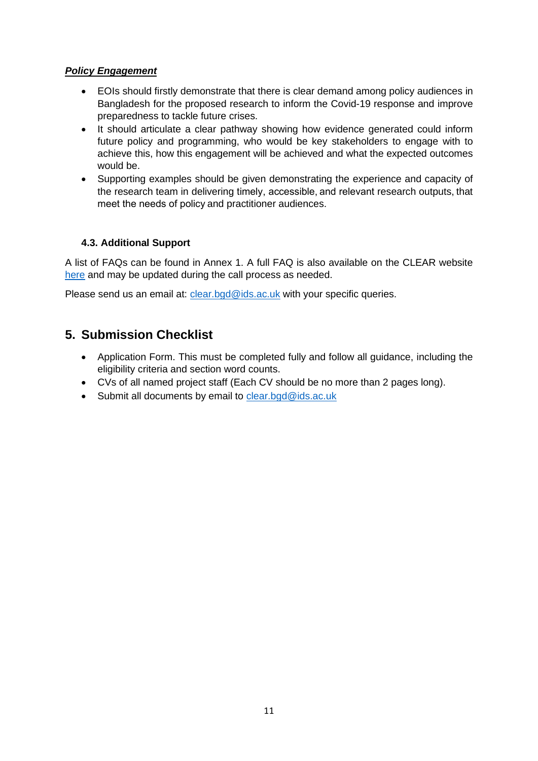#### *Policy Engagement*

- EOIs should firstly demonstrate that there is clear demand among policy audiences in Bangladesh for the proposed research to inform the Covid-19 response and improve preparedness to tackle future crises.
- It should articulate a clear pathway showing how evidence generated could inform future policy and programming, who would be key stakeholders to engage with to achieve this, how this engagement will be achieved and what the expected outcomes would be.
- Supporting examples should be given demonstrating the experience and capacity of the research team in delivering timely, accessible, and relevant research outputs, that meet the needs of policy and practitioner audiences.

#### **4.3. Additional Support**

A list of FAQs can be found in Annex 1. A full FAQ is also available on the CLEAR website [here](https://www.covid-collective.net/clear-frequently-asked-questions/) and may be updated during the call process as needed.

Please send us an email at: [clear.bgd@ids.ac.uk](mailto:clear.bgd@ids.ac.uk) with your specific queries.

## **5. Submission Checklist**

- Application Form. This must be completed fully and follow all guidance, including the eligibility criteria and section word counts.
- CVs of all named project staff (Each CV should be no more than 2 pages long).
- Submit all documents by email to [clear.bgd@ids.ac.uk](mailto:clear.bgd@ids.ac.uk)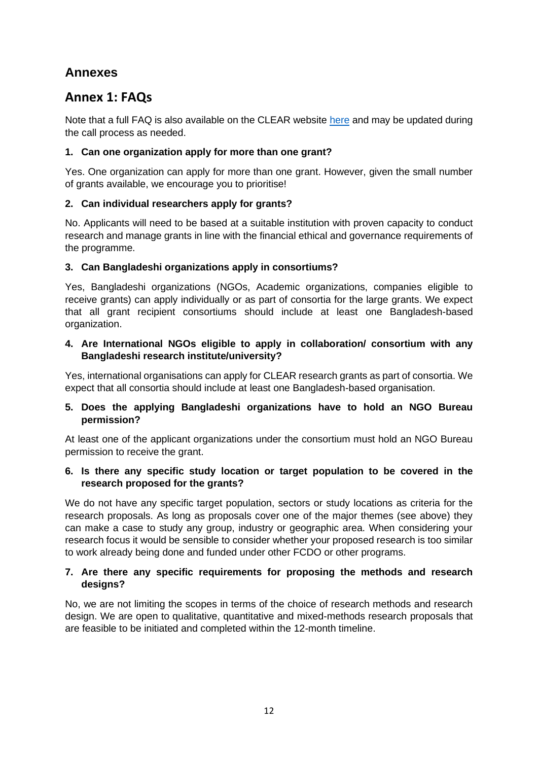## **Annexes**

## **Annex 1: FAQs**

Note that a full FAQ is also available on the CLEAR website [here](https://www.covid-collective.net/clear-frequently-asked-questions/) and may be updated during the call process as needed.

#### **1. Can one organization apply for more than one grant?**

Yes. One organization can apply for more than one grant. However, given the small number of grants available, we encourage you to prioritise!

### **2. Can individual researchers apply for grants?**

No. Applicants will need to be based at a suitable institution with proven capacity to conduct research and manage grants in line with the financial ethical and governance requirements of the programme.

### **3. Can Bangladeshi organizations apply in consortiums?**

Yes, Bangladeshi organizations (NGOs, Academic organizations, companies eligible to receive grants) can apply individually or as part of consortia for the large grants. We expect that all grant recipient consortiums should include at least one Bangladesh-based organization.

#### **4. Are International NGOs eligible to apply in collaboration/ consortium with any Bangladeshi research institute/university?**

Yes, international organisations can apply for CLEAR research grants as part of consortia. We expect that all consortia should include at least one Bangladesh-based organisation.

#### **5. Does the applying Bangladeshi organizations have to hold an NGO Bureau permission?**

At least one of the applicant organizations under the consortium must hold an NGO Bureau permission to receive the grant.

#### **6. Is there any specific study location or target population to be covered in the research proposed for the grants?**

We do not have any specific target population, sectors or study locations as criteria for the research proposals. As long as proposals cover one of the major themes (see above) they can make a case to study any group, industry or geographic area. When considering your research focus it would be sensible to consider whether your proposed research is too similar to work already being done and funded under other FCDO or other programs.

#### **7. Are there any specific requirements for proposing the methods and research designs?**

No, we are not limiting the scopes in terms of the choice of research methods and research design. We are open to qualitative, quantitative and mixed-methods research proposals that are feasible to be initiated and completed within the 12-month timeline.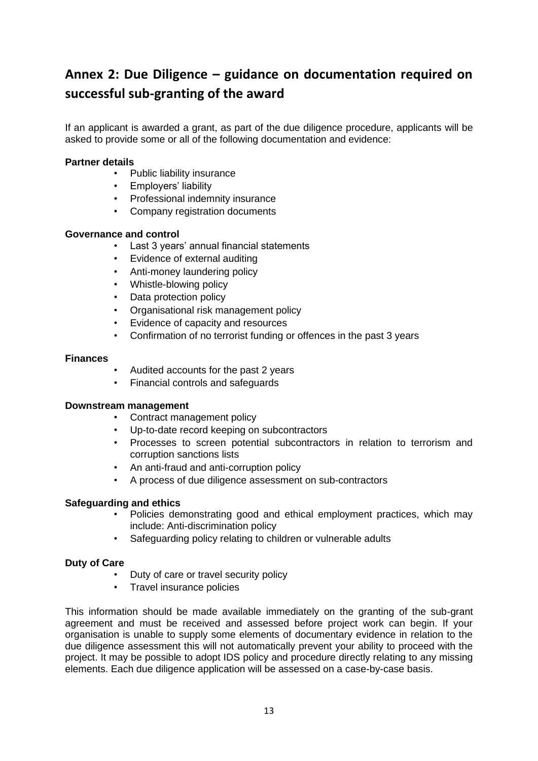# **Annex 2: Due Diligence – guidance on documentation required on successful sub-granting of the award**

If an applicant is awarded a grant, as part of the due diligence procedure, applicants will be asked to provide some or all of the following documentation and evidence:

#### **Partner details**

- Public liability insurance
- Employers' liability
- Professional indemnity insurance
- Company registration documents

#### **Governance and control**

- Last 3 years' annual financial statements
- Evidence of external auditing
- Anti-money laundering policy
- Whistle-blowing policy
- Data protection policy
- Organisational risk management policy
- Evidence of capacity and resources
- Confirmation of no terrorist funding or offences in the past 3 years

#### **Finances**

- Audited accounts for the past 2 years
- Financial controls and safeguards

#### **Downstream management**

- Contract management policy
- Up-to-date record keeping on subcontractors
- Processes to screen potential subcontractors in relation to terrorism and corruption sanctions lists
- An anti-fraud and anti-corruption policy
- A process of due diligence assessment on sub-contractors

#### **Safeguarding and ethics**

- Policies demonstrating good and ethical employment practices, which may include: Anti-discrimination policy
- Safeguarding policy relating to children or vulnerable adults

#### **Duty of Care**

- Duty of care or travel security policy
- Travel insurance policies

This information should be made available immediately on the granting of the sub-grant agreement and must be received and assessed before project work can begin. If your organisation is unable to supply some elements of documentary evidence in relation to the due diligence assessment this will not automatically prevent your ability to proceed with the project. It may be possible to adopt IDS policy and procedure directly relating to any missing elements. Each due diligence application will be assessed on a case-by-case basis.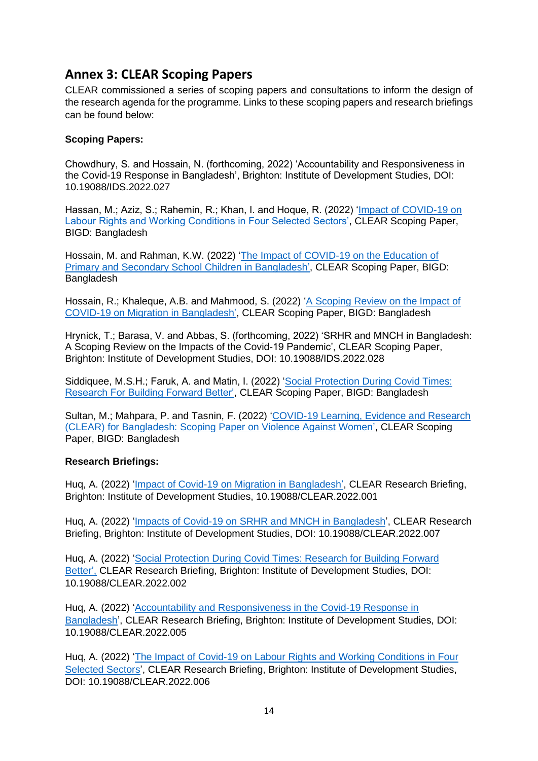## **Annex 3: CLEAR Scoping Papers**

CLEAR commissioned a series of scoping papers and consultations to inform the design of the research agenda for the programme. Links to these scoping papers and research briefings can be found below:

#### **Scoping Papers:**

Chowdhury, S. and Hossain, N. (forthcoming, 2022) 'Accountability and Responsiveness in the Covid-19 Response in Bangladesh', Brighton: Institute of Development Studies, DOI: 10.19088/IDS.2022.027

Hassan, M.; Aziz, S.; Rahemin, R.; Khan, I. and Hoque, R. (2022) ['Impact of COVID-19 on](https://bigd.bracu.ac.bd/publications/impact-of-covid-19-on-labour-rights-and-working-conditions-in-four-selected-sectors/)  [Labour Rights and Working Conditions in Four Selected Sectors',](https://bigd.bracu.ac.bd/publications/impact-of-covid-19-on-labour-rights-and-working-conditions-in-four-selected-sectors/) CLEAR Scoping Paper, BIGD: Bangladesh

Hossain, M. and Rahman, K.W. (2022) ['The Impact of COVID-19 on the Education of](https://bigd.bracu.ac.bd/publications/the-impact-of-covid-19-on-the-education-of-primary-and-secondary-school-children-in-bangladesh/)  [Primary and Secondary School Children in Bangladesh',](https://bigd.bracu.ac.bd/publications/the-impact-of-covid-19-on-the-education-of-primary-and-secondary-school-children-in-bangladesh/) CLEAR Scoping Paper, BIGD: Bangladesh

Hossain, R.; Khaleque, A.B. and Mahmood, S. (2022) ['A Scoping Review on the Impact of](https://bigd.bracu.ac.bd/publications/a-scoping-review-on-the-impact-of-covid-19-on-migration-in-bangladesh/)  [COVID-19 on Migration in](https://bigd.bracu.ac.bd/publications/a-scoping-review-on-the-impact-of-covid-19-on-migration-in-bangladesh/) Bangladesh', CLEAR Scoping Paper, BIGD: Bangladesh

Hrynick, T.; Barasa, V. and Abbas, S. (forthcoming, 2022) 'SRHR and MNCH in Bangladesh: A Scoping Review on the Impacts of the Covid-19 Pandemic', CLEAR Scoping Paper, Brighton: Institute of Development Studies, DOI: 10.19088/IDS.2022.028

Siddiquee, M.S.H.; Faruk, A. and Matin, I. (2022) ['Social Protection During Covid Times:](https://bigd.bracu.ac.bd/publications/social-protection-during-covid-times-research-for-building-forward-better/)  [Research For Building Forward Better',](https://bigd.bracu.ac.bd/publications/social-protection-during-covid-times-research-for-building-forward-better/) CLEAR Scoping Paper, BIGD: Bangladesh

Sultan, M.; Mahpara, P. and Tasnin, F. (2022) ['COVID-19 Learning, Evidence and Research](https://bigd.bracu.ac.bd/publications/covid-19-learning-evidence-and-research-clear-for-bangladesh-scoping-paper-on-violence-against-women/)  [\(CLEAR\) for Bangladesh: Scoping Paper on Violence Against Women',](https://bigd.bracu.ac.bd/publications/covid-19-learning-evidence-and-research-clear-for-bangladesh-scoping-paper-on-violence-against-women/) CLEAR Scoping Paper, BIGD: Bangladesh

#### **Research Briefings:**

Huq, A. (2022) ['Impact of Covid-19 on Migration in Bangladesh',](https://opendocs.ids.ac.uk/opendocs/handle/20.500.12413/17348) CLEAR Research Briefing, Brighton: Institute of Development Studies, 10.19088/CLEAR.2022.001

Huq, A. (2022) ['Impacts of Covid-19 on SRHR and MNCH in Bangladesh'](https://opendocs.ids.ac.uk/opendocs/handle/20.500.12413/17347), CLEAR Research Briefing, Brighton: Institute of Development Studies, DOI: 10.19088/CLEAR.2022.007

Huq, A. (2022) ['Social Protection During Covid Times: Research for Building Forward](https://opendocs.ids.ac.uk/opendocs/handle/20.500.12413/17346)  [Better',](https://opendocs.ids.ac.uk/opendocs/handle/20.500.12413/17346) CLEAR Research Briefing, Brighton: Institute of Development Studies, DOI: 10.19088/CLEAR.2022.002

Huq, A. (2022) ['Accountability and Responsiveness in the Covid-19 Response in](https://opendocs.ids.ac.uk/opendocs/handle/20.500.12413/17345)  [Bangladesh'](https://opendocs.ids.ac.uk/opendocs/handle/20.500.12413/17345), CLEAR Research Briefing, Brighton: Institute of Development Studies, DOI: 10.19088/CLEAR.2022.005

Huq, A. (2022) ['The Impact of Covid-19 on Labour Rights and Working Conditions in Four](https://opendocs.ids.ac.uk/opendocs/handle/20.500.12413/17344)  [Selected Sectors'](https://opendocs.ids.ac.uk/opendocs/handle/20.500.12413/17344), CLEAR Research Briefing, Brighton: Institute of Development Studies, DOI: 10.19088/CLEAR.2022.006